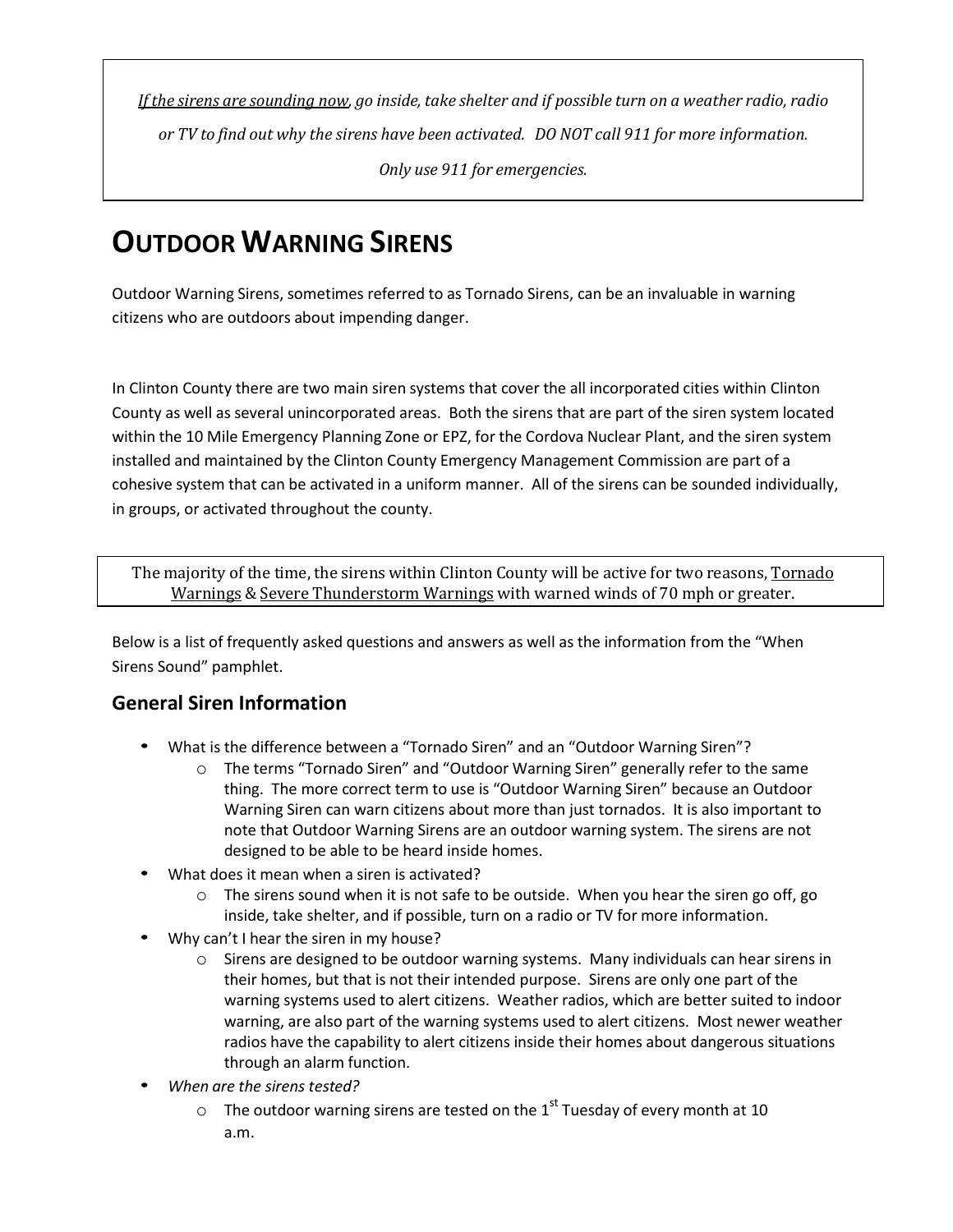If the sirens are sounding now, go inside, take shelter and if possible turn on a weather radio, radio *or TV to find out why the sirens have been activated. DO NOT call 911 for more information. Only use 911 for emergencies.*

## **OUTDOOR WARNING SIRENS**

Outdoor Warning Sirens, sometimes referred to as Tornado Sirens, can be an invaluable in warning citizens who are outdoors about impending danger.

In Clinton County there are two main siren systems that cover the all incorporated cities within Clinton County as well as several unincorporated areas. Both the sirens that are part of the siren system located within the 10 Mile Emergency Planning Zone or EPZ, for the Cordova Nuclear Plant, and the siren system installed and maintained by the Clinton County Emergency Management Commission are part of a cohesive system that can be activated in a uniform manner. All of the sirens can be sounded individually, in groups, or activated throughout the county.

The majority of the time, the sirens within Clinton County will be active for two reasons, Tornado Warnings & Severe Thunderstorm Warnings with warned winds of 70 mph or greater.

Below is a list of frequently asked questions and answers as well as the information from the "When Sirens Sound" pamphlet.

## **General Siren Information**

- What is the difference between a "Tornado Siren" and an "Outdoor Warning Siren"?
	- o The terms "Tornado Siren" and "Outdoor Warning Siren" generally refer to the same thing. The more correct term to use is "Outdoor Warning Siren" because an Outdoor Warning Siren can warn citizens about more than just tornados. It is also important to note that Outdoor Warning Sirens are an outdoor warning system. The sirens are not designed to be able to be heard inside homes.
- What does it mean when a siren is activated?
	- $\circ$  The sirens sound when it is not safe to be outside. When you hear the siren go off, go inside, take shelter, and if possible, turn on a radio or TV for more information.
- Why can't I hear the siren in my house?
	- $\circ$  Sirens are designed to be outdoor warning systems. Many individuals can hear sirens in their homes, but that is not their intended purpose. Sirens are only one part of the warning systems used to alert citizens. Weather radios, which are better suited to indoor warning, are also part of the warning systems used to alert citizens. Most newer weather radios have the capability to alert citizens inside their homes about dangerous situations through an alarm function.
- *When are the sirens tested?*
	- $\circ$  The outdoor warning sirens are tested on the 1<sup>st</sup> Tuesday of every month at 10 a.m.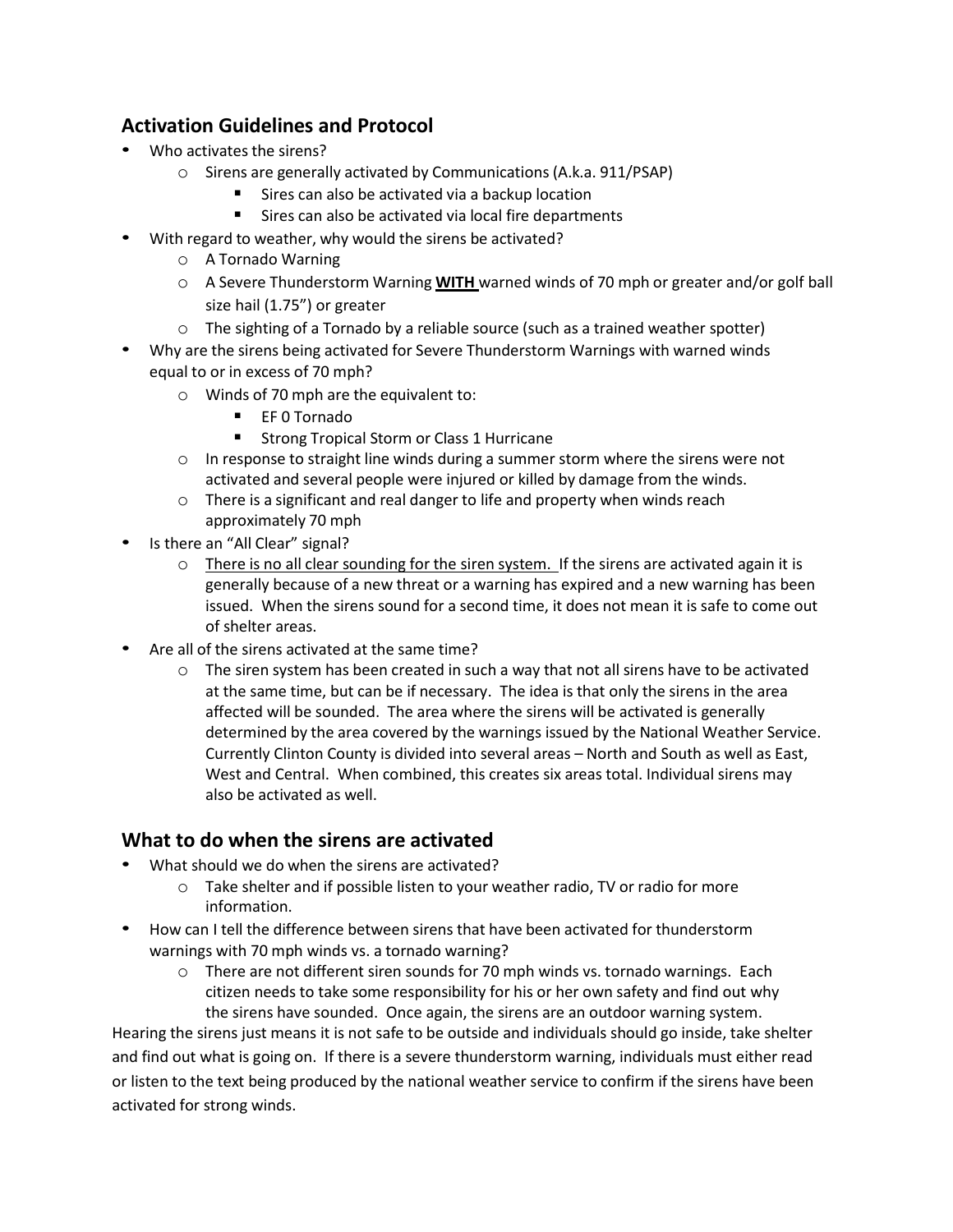## **Activation Guidelines and Protocol**

- Who activates the sirens?
	- o Sirens are generally activated by Communications (A.k.a. 911/PSAP)
		- Sires can also be activated via a backup location
		- Sires can also be activated via local fire departments
- With regard to weather, why would the sirens be activated?
	- o A Tornado Warning
	- o A Severe Thunderstorm Warning **WITH** warned winds of 70 mph or greater and/or golf ball size hail (1.75") or greater
	- $\circ$  The sighting of a Tornado by a reliable source (such as a trained weather spotter)
- Why are the sirens being activated for Severe Thunderstorm Warnings with warned winds equal to or in excess of 70 mph?
	- o Winds of 70 mph are the equivalent to:
		- EF 0 Tornado
		- Strong Tropical Storm or Class 1 Hurricane
	- $\circ$  In response to straight line winds during a summer storm where the sirens were not activated and several people were injured or killed by damage from the winds.
	- o There is a significant and real danger to life and property when winds reach approximately 70 mph
- Is there an "All Clear" signal?
	- $\circ$  There is no all clear sounding for the siren system. If the sirens are activated again it is generally because of a new threat or a warning has expired and a new warning has been issued. When the sirens sound for a second time, it does not mean it is safe to come out of shelter areas.
- Are all of the sirens activated at the same time?
	- $\circ$  The siren system has been created in such a way that not all sirens have to be activated at the same time, but can be if necessary. The idea is that only the sirens in the area affected will be sounded. The area where the sirens will be activated is generally determined by the area covered by the warnings issued by the National Weather Service. Currently Clinton County is divided into several areas – North and South as well as East, West and Central. When combined, this creates six areas total. Individual sirens may also be activated as well.

## **What to do when the sirens are activated**

- What should we do when the sirens are activated?
	- o Take shelter and if possible listen to your weather radio, TV or radio for more information.
- How can I tell the difference between sirens that have been activated for thunderstorm warnings with 70 mph winds vs. a tornado warning?
	- $\circ$  There are not different siren sounds for 70 mph winds vs. tornado warnings. Each citizen needs to take some responsibility for his or her own safety and find out why the sirens have sounded. Once again, the sirens are an outdoor warning system.

Hearing the sirens just means it is not safe to be outside and individuals should go inside, take shelter and find out what is going on. If there is a severe thunderstorm warning, individuals must either read or listen to the text being produced by the national weather service to confirm if the sirens have been activated for strong winds.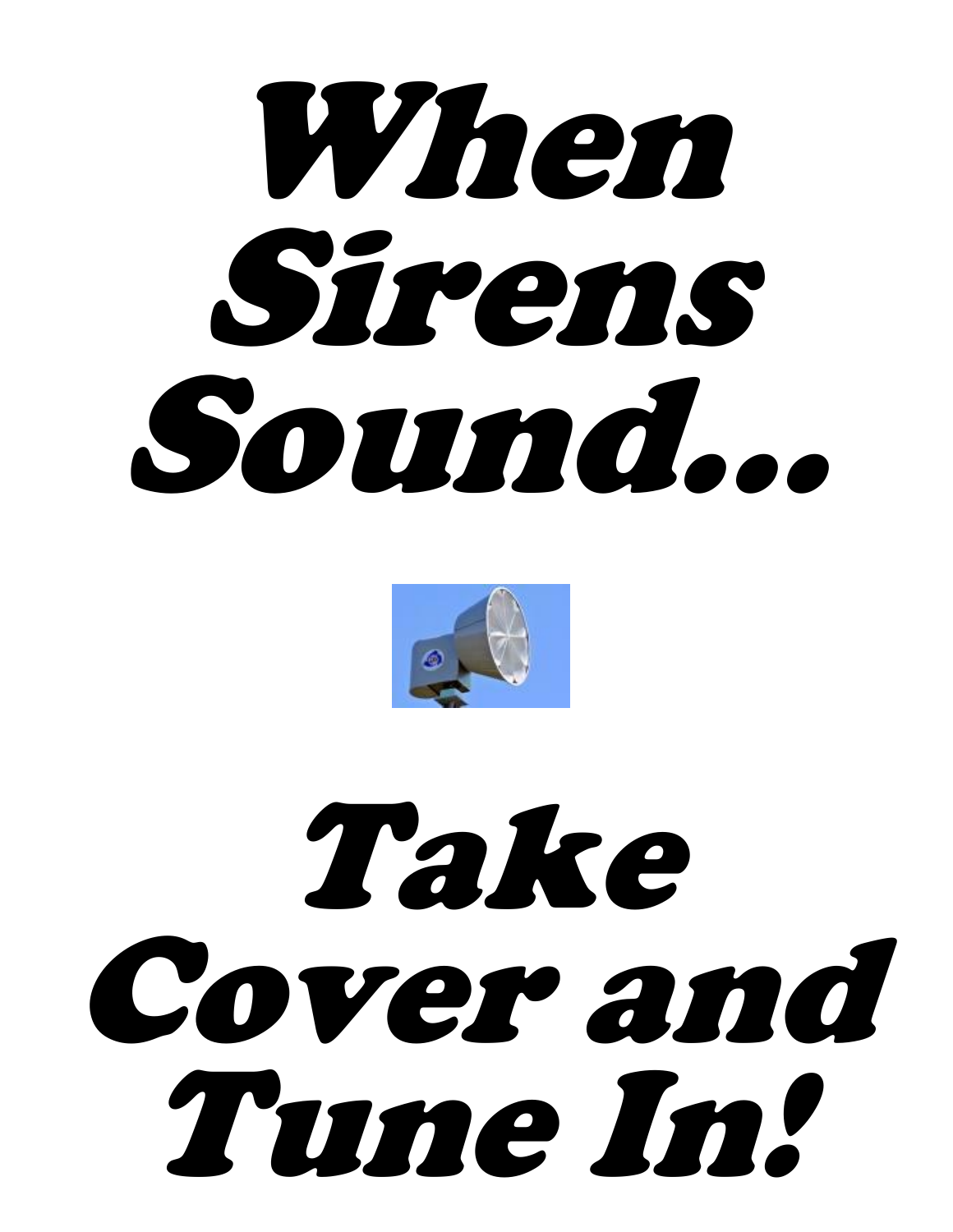



# Take Cover and Tune In!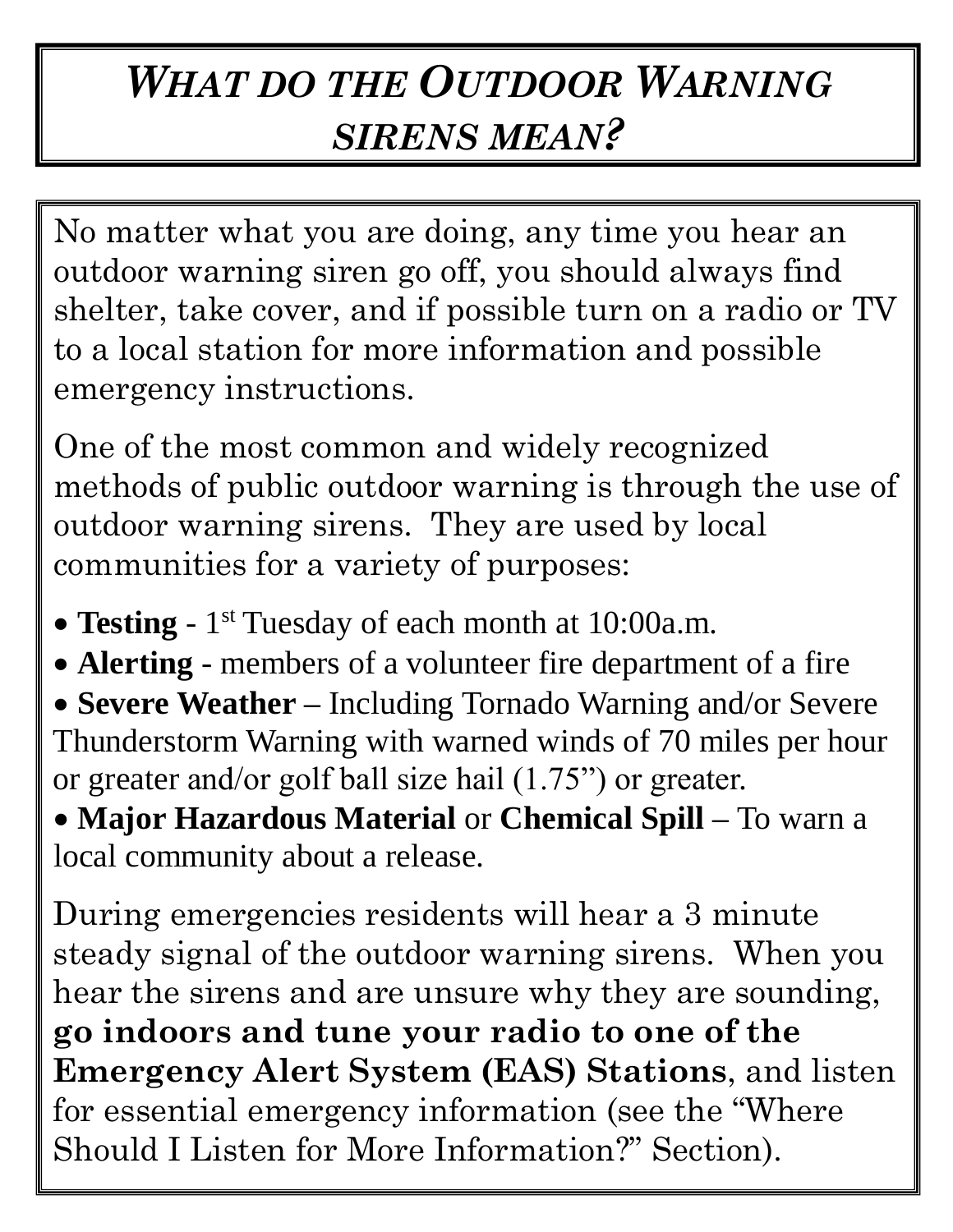## *WHAT DO THE OUTDOOR WARNING SIRENS MEAN?*

No matter what you are doing, any time you hear an outdoor warning siren go off, you should always find shelter, take cover, and if possible turn on a radio or TV to a local station for more information and possible emergency instructions.

One of the most common and widely recognized methods of public outdoor warning is through the use of outdoor warning sirens. They are used by local communities for a variety of purposes:

- Testing 1<sup>st</sup> Tuesday of each month at 10:00a.m.
- **Alerting** members of a volunteer fire department of a fire
- **Severe Weather –** Including Tornado Warning and/or Severe Thunderstorm Warning with warned winds of 70 miles per hour or greater and/or golf ball size hail (1.75") or greater.

 **Major Hazardous Material** or **Chemical Spill –** To warn a local community about a release.

During emergencies residents will hear a 3 minute steady signal of the outdoor warning sirens. When you hear the sirens and are unsure why they are sounding, **go indoors and tune your radio to one of the Emergency Alert System (EAS) Stations**, and listen for essential emergency information (see the "Where Should I Listen for More Information?" Section).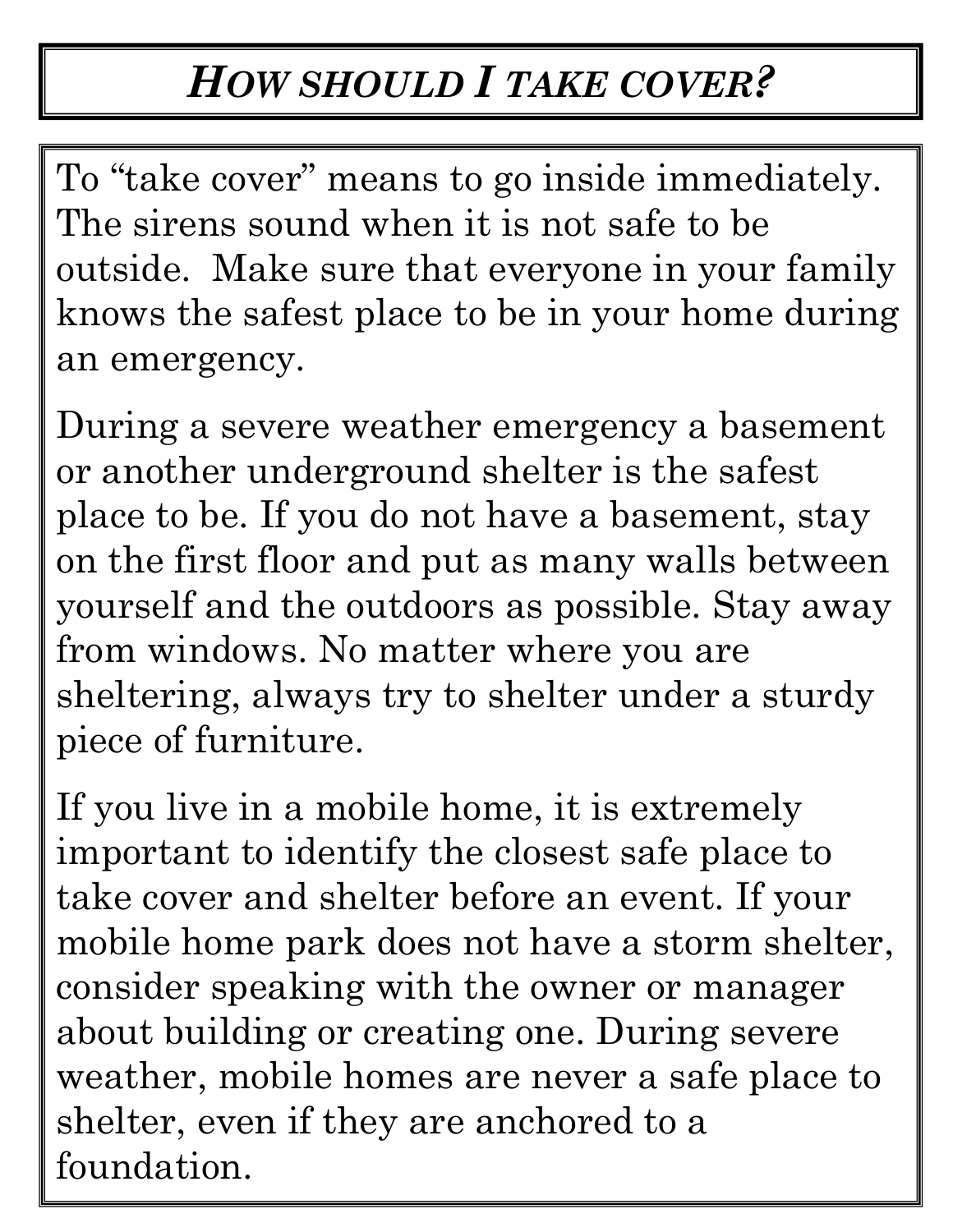## *HOW SHOULD I TAKE COVER?*

To "take cover" means to go inside immediately. The sirens sound when it is not safe to be outside. Make sure that everyone in your family knows the safest place to be in your home during an emergency.

During a severe weather emergency a basement or another underground shelter is the safest place to be. If you do not have a basement, stay on the first floor and put as many walls between yourself and the outdoors as possible. Stay away from windows. No matter where you are sheltering, always try to shelter under a sturdy piece of furniture.

If you live in a mobile home, it is extremely important to identify the closest safe place to take cover and shelter before an event. If your mobile home park does not have a storm shelter, consider speaking with the owner or manager about building or creating one. During severe weather, mobile homes are never a safe place to shelter, even if they are anchored to a foundation.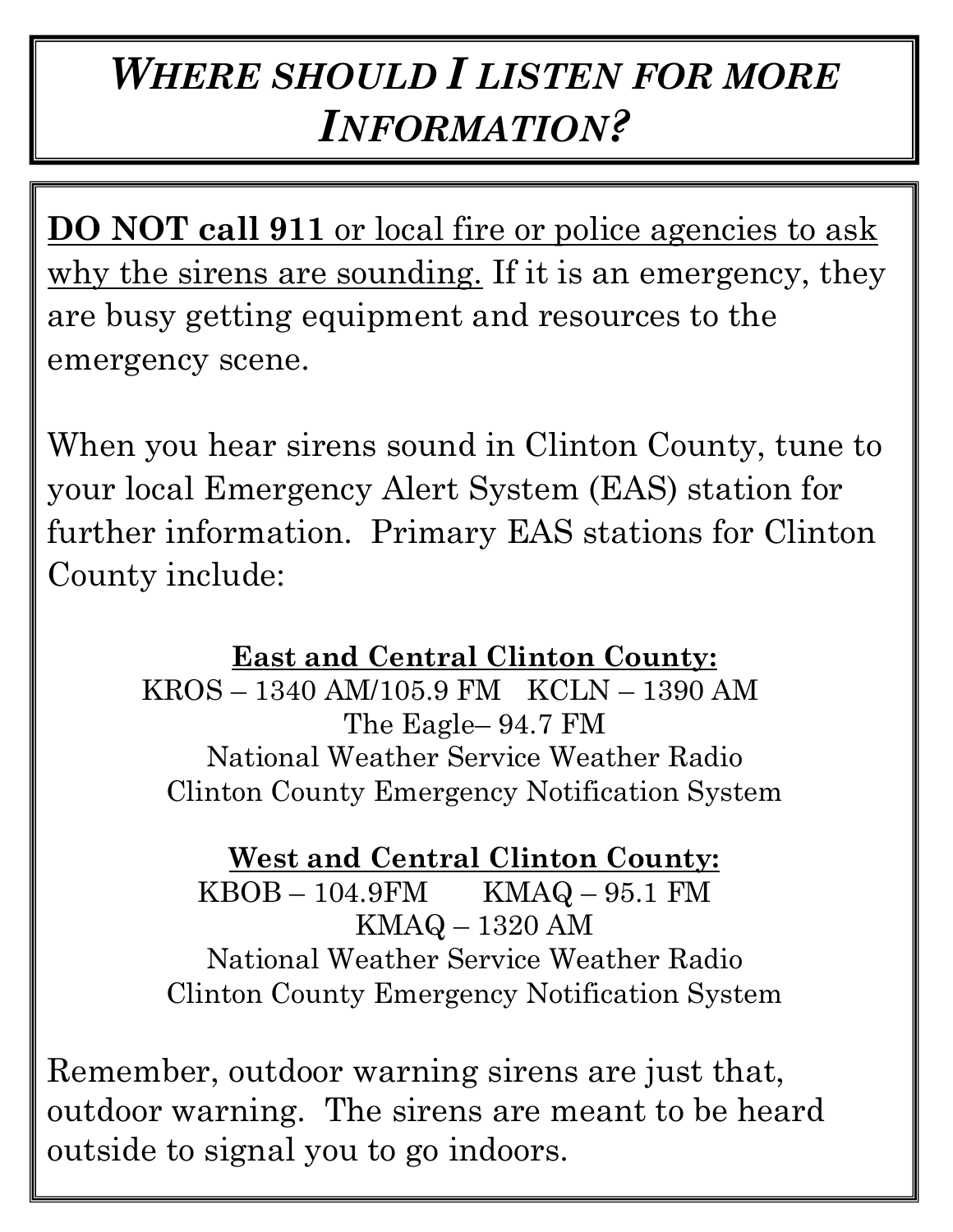## *WHERE SHOULD I LISTEN FOR MORE INFORMATION?*

**DO NOT call 911** or local fire or police agencies to ask why the sirens are sounding. If it is an emergency, they are busy getting equipment and resources to the emergency scene.

When you hear sirens sound in Clinton County, tune to your local Emergency Alert System (EAS) station for further information. Primary EAS stations for Clinton County include:

> **East and Central Clinton County:** KROS – 1340 AM/105.9 FM KCLN – 1390 AM The Eagle– 94.7 FM National Weather Service Weather Radio Clinton County Emergency Notification System

**West and Central Clinton County:** KBOB – 104.9FM KMAQ – 95.1 FM KMAQ – 1320 AM National Weather Service Weather Radio Clinton County Emergency Notification System

Remember, outdoor warning sirens are just that, outdoor warning. The sirens are meant to be heard outside to signal you to go indoors.